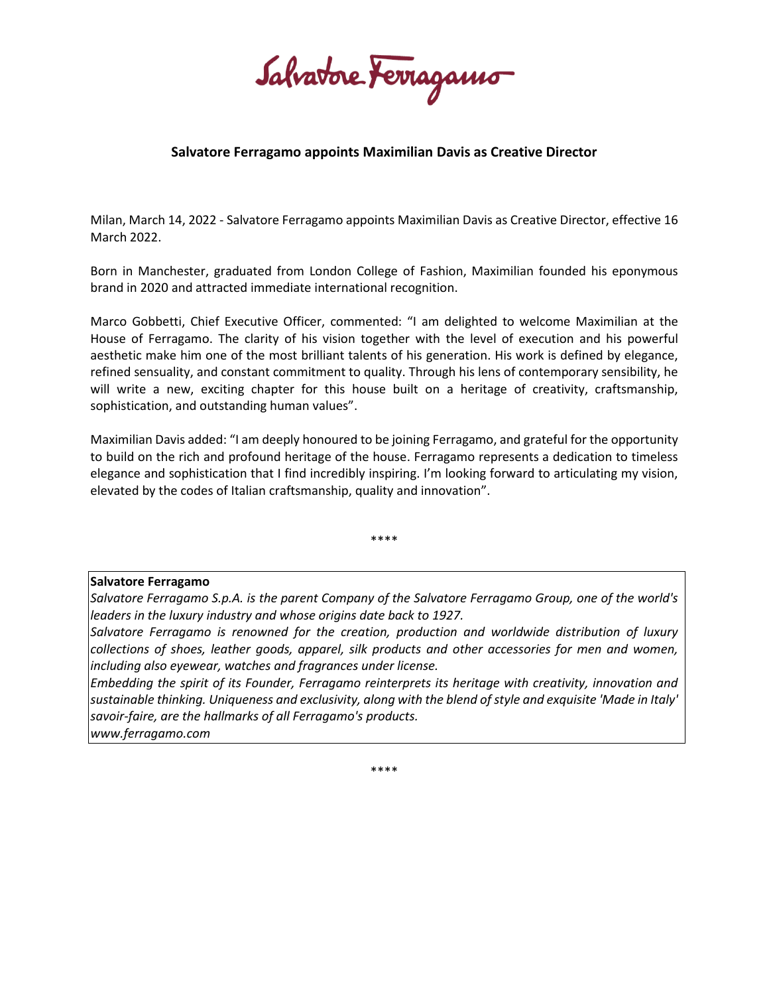Salvatore Ferragamo

## **Salvatore Ferragamo appoints Maximilian Davis as Creative Director**

Milan, March 14, 2022 - Salvatore Ferragamo appoints Maximilian Davis as Creative Director, effective 16 March 2022.

Born in Manchester, graduated from London College of Fashion, Maximilian founded his eponymous brand in 2020 and attracted immediate international recognition.

Marco Gobbetti, Chief Executive Officer, commented: "I am delighted to welcome Maximilian at the House of Ferragamo. The clarity of his vision together with the level of execution and his powerful aesthetic make him one of the most brilliant talents of his generation. His work is defined by elegance, refined sensuality, and constant commitment to quality. Through his lens of contemporary sensibility, he will write a new, exciting chapter for this house built on a heritage of creativity, craftsmanship, sophistication, and outstanding human values".

Maximilian Davis added: "I am deeply honoured to be joining Ferragamo, and grateful for the opportunity to build on the rich and profound heritage of the house. Ferragamo represents a dedication to timeless elegance and sophistication that I find incredibly inspiring. I'm looking forward to articulating my vision, elevated by the codes of Italian craftsmanship, quality and innovation".

\*\*\*\*

## **Salvatore Ferragamo**

*Salvatore Ferragamo S.p.A. is the parent Company of the Salvatore Ferragamo Group, one of the world's leaders in the luxury industry and whose origins date back to 1927.*

*Salvatore Ferragamo is renowned for the creation, production and worldwide distribution of luxury collections of shoes, leather goods, apparel, silk products and other accessories for men and women, including also eyewear, watches and fragrances under license.*

*Embedding the spirit of its Founder, Ferragamo reinterprets its heritage with creativity, innovation and sustainable thinking. Uniqueness and exclusivity, along with the blend of style and exquisite 'Made in Italy' savoir-faire, are the hallmarks of all Ferragamo's products.*

*www.ferragamo.com*

\*\*\*\*